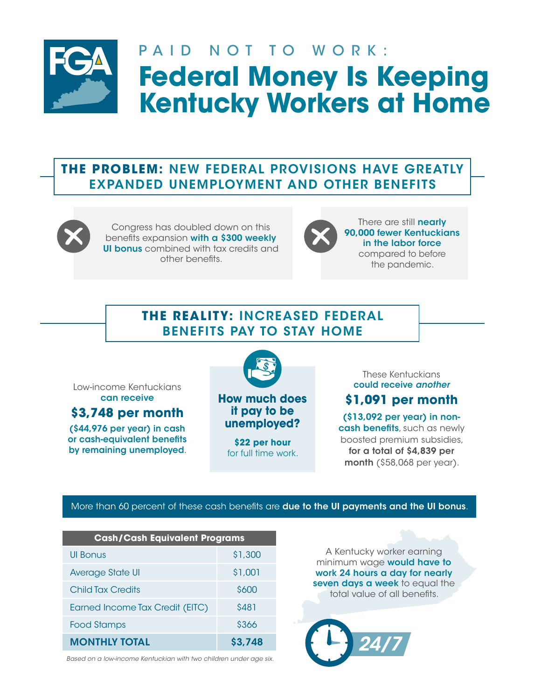

# PAID NOT TO WORK: **Federal Money Is Keeping Kentucky Workers at Home**

## **THE PROBLEM:** NEW FEDERAL PROVISIONS HAVE GREATLY EXPANDED UNEMPLOYMENT AND OTHER BENEFITS



Congress has doubled down on this benefits expansion with a \$300 weekly UI bonus combined with tax credits and other benefits.



There are still **nearly** 90,000 fewer Kentuckians in the labor force compared to before the pandemic.

## **THE REALITY:** INCREASED FEDERAL BENEFITS PAY TO STAY HOME

Low-income Kentuckians can receive

**\$3,748 per month**

(\$44,976 per year) in cash or cash-equivalent benefits by remaining unemployed.



**How much does it pay to be unemployed?**

**\$22 per hour**  for full time work.

These Kentuckians could receive *another*

## **\$1,091 per month**

(\$13,092 per year) in noncash benefits, such as newly boosted premium subsidies, for a total of \$4,839 per month (\$58,068 per year).

#### More than 60 percent of these cash benefits are **due to the UI payments and the UI bonus**.

| <b>Cash/Cash Equivalent Programs</b> |         |  |  |
|--------------------------------------|---------|--|--|
| UI Bonus                             | \$1,300 |  |  |
| Average State UI                     | \$1,001 |  |  |
| <b>Child Tax Credits</b>             | \$600   |  |  |
| Earned Income Tax Credit (EITC)      | \$481   |  |  |
| Food Stamps                          | \$366   |  |  |
| <b>MONTHLY TOTAL</b>                 | \$3,748 |  |  |

*Based on a low-income Kentuckian with two children under age six.*

A Kentucky worker earning minimum wage **would have to** work 24 hours a day for nearly seven days a week to equal the total value of all benefits.